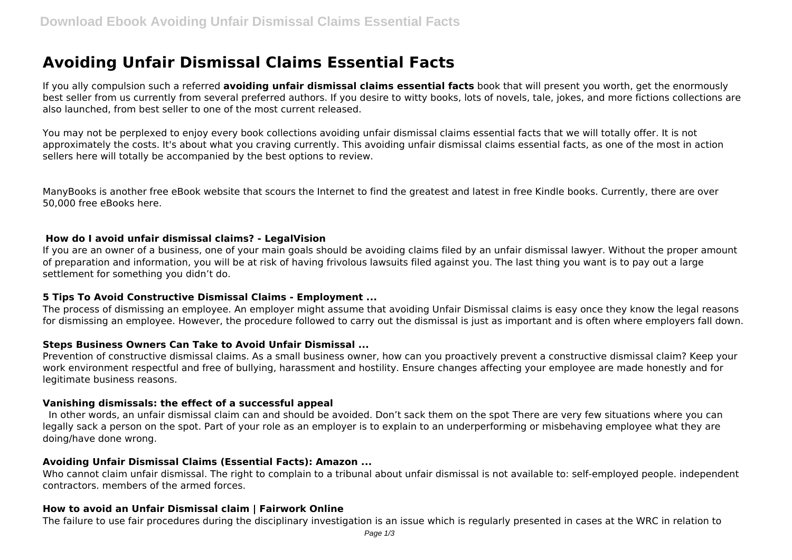# **Avoiding Unfair Dismissal Claims Essential Facts**

If you ally compulsion such a referred **avoiding unfair dismissal claims essential facts** book that will present you worth, get the enormously best seller from us currently from several preferred authors. If you desire to witty books, lots of novels, tale, jokes, and more fictions collections are also launched, from best seller to one of the most current released.

You may not be perplexed to enjoy every book collections avoiding unfair dismissal claims essential facts that we will totally offer. It is not approximately the costs. It's about what you craving currently. This avoiding unfair dismissal claims essential facts, as one of the most in action sellers here will totally be accompanied by the best options to review.

ManyBooks is another free eBook website that scours the Internet to find the greatest and latest in free Kindle books. Currently, there are over 50,000 free eBooks here.

## **How do I avoid unfair dismissal claims? - LegalVision**

If you are an owner of a business, one of your main goals should be avoiding claims filed by an unfair dismissal lawyer. Without the proper amount of preparation and information, you will be at risk of having frivolous lawsuits filed against you. The last thing you want is to pay out a large settlement for something you didn't do.

## **5 Tips To Avoid Constructive Dismissal Claims - Employment ...**

The process of dismissing an employee. An employer might assume that avoiding Unfair Dismissal claims is easy once they know the legal reasons for dismissing an employee. However, the procedure followed to carry out the dismissal is just as important and is often where employers fall down.

## **Steps Business Owners Can Take to Avoid Unfair Dismissal ...**

Prevention of constructive dismissal claims. As a small business owner, how can you proactively prevent a constructive dismissal claim? Keep your work environment respectful and free of bullying, harassment and hostility. Ensure changes affecting your employee are made honestly and for legitimate business reasons.

## **Vanishing dismissals: the effect of a successful appeal**

 In other words, an unfair dismissal claim can and should be avoided. Don't sack them on the spot There are very few situations where you can legally sack a person on the spot. Part of your role as an employer is to explain to an underperforming or misbehaving employee what they are doing/have done wrong.

## **Avoiding Unfair Dismissal Claims (Essential Facts): Amazon ...**

Who cannot claim unfair dismissal. The right to complain to a tribunal about unfair dismissal is not available to: self-employed people. independent contractors. members of the armed forces.

## **How to avoid an Unfair Dismissal claim | Fairwork Online**

The failure to use fair procedures during the disciplinary investigation is an issue which is regularly presented in cases at the WRC in relation to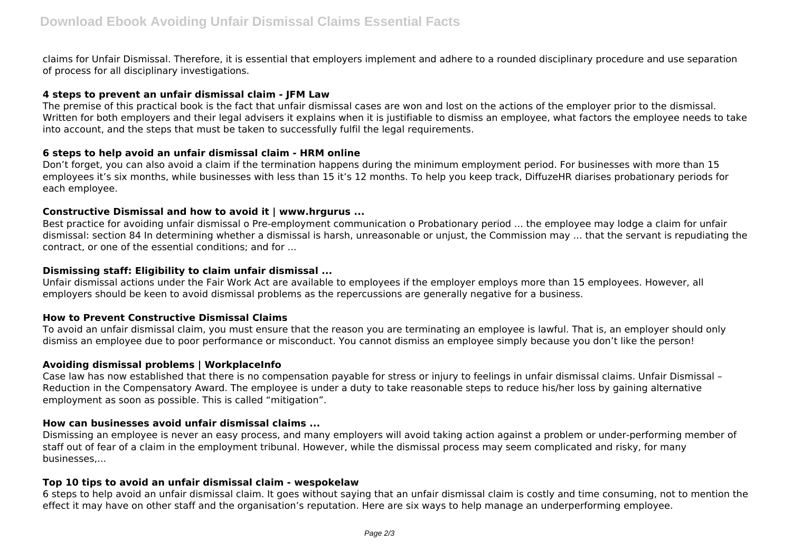claims for Unfair Dismissal. Therefore, it is essential that employers implement and adhere to a rounded disciplinary procedure and use separation of process for all disciplinary investigations.

## **4 steps to prevent an unfair dismissal claim - JFM Law**

The premise of this practical book is the fact that unfair dismissal cases are won and lost on the actions of the employer prior to the dismissal. Written for both employers and their legal advisers it explains when it is justifiable to dismiss an employee, what factors the employee needs to take into account, and the steps that must be taken to successfully fulfil the legal requirements.

## **6 steps to help avoid an unfair dismissal claim - HRM online**

Don't forget, you can also avoid a claim if the termination happens during the minimum employment period. For businesses with more than 15 employees it's six months, while businesses with less than 15 it's 12 months. To help you keep track, DiffuzeHR diarises probationary periods for each employee.

## **Constructive Dismissal and how to avoid it | www.hrgurus ...**

Best practice for avoiding unfair dismissal o Pre-employment communication o Probationary period ... the employee may lodge a claim for unfair dismissal: section 84 In determining whether a dismissal is harsh, unreasonable or unjust, the Commission may ... that the servant is repudiating the contract, or one of the essential conditions; and for ...

## **Dismissing staff: Eligibility to claim unfair dismissal ...**

Unfair dismissal actions under the Fair Work Act are available to employees if the employer employs more than 15 employees. However, all employers should be keen to avoid dismissal problems as the repercussions are generally negative for a business.

## **How to Prevent Constructive Dismissal Claims**

To avoid an unfair dismissal claim, you must ensure that the reason you are terminating an employee is lawful. That is, an employer should only dismiss an employee due to poor performance or misconduct. You cannot dismiss an employee simply because you don't like the person!

## **Avoiding dismissal problems | WorkplaceInfo**

Case law has now established that there is no compensation payable for stress or injury to feelings in unfair dismissal claims. Unfair Dismissal – Reduction in the Compensatory Award. The employee is under a duty to take reasonable steps to reduce his/her loss by gaining alternative employment as soon as possible. This is called "mitigation".

## **How can businesses avoid unfair dismissal claims ...**

Dismissing an employee is never an easy process, and many employers will avoid taking action against a problem or under-performing member of staff out of fear of a claim in the employment tribunal. However, while the dismissal process may seem complicated and risky, for many businesses,...

## **Top 10 tips to avoid an unfair dismissal claim - wespokelaw**

6 steps to help avoid an unfair dismissal claim. It goes without saying that an unfair dismissal claim is costly and time consuming, not to mention the effect it may have on other staff and the organisation's reputation. Here are six ways to help manage an underperforming employee.